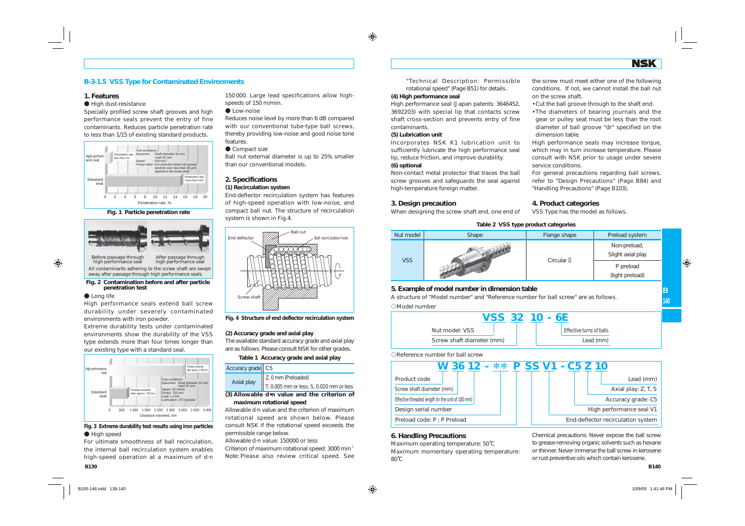

# **B-3-1.5 VSS Type for Contaminated Environments** "Technical Description: Permissible

### **1. Features**

### High dust-resistance

Specially profiled screw shaft grooves and high performance seals prevent the entry of fine contaminants. Reduces particle penetration rate to less than 1/15 of existing standard products.







### **C** Long life

High performance seals extend ball screw durability under severely contaminated environments with iron powder.

Extreme durability tests under contaminated environments show the durability of the VSS type extends more than four times longer than our existing type with a standard seal.



**A** High speed **Fig. 3 Extreme durability test results using iron particles**

For ultimate smoothness of ball recirculation, the internal ball recirculation system enables high-speed operation at a maximum of d·n 150 000. Large lead specifications allow highspeeds of 150 m/min.

### **C** Low-noise

Reduces noise level by more than 6 dB compared with our conventional tube-type ball screws, thereby providing low-noise and good noise tone features.

#### ● Compact size

Ball nut external diameter is up to 25% smaller than our conventional models.

### **2. Specifications (1) Recirculation system**

End-deflector recirculation system has features of high-speed operation with low-noise, and compact ball nut. The structure of recirculation system is shown in Fig.4.



**Fig. 4 Structure of end deflector recirculation system**

### **(2) Accuracy grade and axial play**

The available standard accuracy grade and axial play are as follows. Please consult NSK for other grades.

### **Table 1 Accuracy grade and axial play**

| Accuracy grade   C5 |                                                      |
|---------------------|------------------------------------------------------|
| Axial play          | $\parallel$ Z, 0 mm (Preloaded)                      |
|                     | $\parallel$ T, 0.005 mm or less; S, 0.020 mm or less |

**(3) Allowable d•n value and the criterion of maximum rotational speed**

Allowable d·n value and the criterion of maximum rotational speed are shown below. Please consult NSK if the rotational speed exceeds the permissible range below.

Allowable d·n value: 150000 or less

Criterion of maximum rotational speed: 3000 min<sup>-1</sup> Note: Please also review critical speed. See rotational speed" (Page B51) for details.

## **(4) High performance seal**

High performance seal (Japan patents: 3646452, 3692203) with special lip that contacts screw shaft cross-section and prevents entry of fine contaminants.

### **(5) Lubrication unit**

Incorporates NSK K1 lubrication unit to sufficiently lubricate the high performance seal lip, reduce friction, and improve durability. **(6) optional**

Non-contact metal protector that traces the ball screw grooves and safeguards the seal against high-temperature foreign matter.

#### **3. Design precaution**

When designing the screw shaft end, one end of

the screw must meet either one of the following conditions. If not, we cannot install the ball nut on the screw shaft.

- Cut the ball groove through to the shaft end.
- The diameters of bearing journals and the gear or pulley seat must be less than the root diameter of ball groove "dr" specified on the dimension table.

High performance seals may increase torque, which may in turn increase temperature. Please consult with NSK prior to usage under severe service conditions.

For general precautions regarding ball screws, refer to "Design Precautions" (Page B84) and "Handling Precautions" (Page B103).

### **4. Product categories**

VSS Type has the model as follows.

| rable 2 v33 type product categories |       |                |                                   |  |  |  |  |
|-------------------------------------|-------|----------------|-----------------------------------|--|--|--|--|
| Nut model                           | Shape | Flange shape   | Preload system                    |  |  |  |  |
| <b>VSS</b>                          |       | Circular $\Pi$ | Non-preload,<br>Slight axial play |  |  |  |  |
|                                     |       |                | P preload<br>(light preload)      |  |  |  |  |

**Table 2 VSS type product categories**

## **5. Example of model number in dimension table**

A structure of "Model number" and "Reference number for ball screw" are as follows.  $\triangle$ Model number



 $\Diamond$ Reference number for ball screw



## **6. Handling Precautions**

Maximum operating temperature: 50˚C Maximum momentary operating temperature:  $80^\circ$ C

Chemical precautions: Never expose the ball screw to grease-removing organic solvents such as hexane or thinner. Never immerse the ball screw in kerosene or rust preventive oils which contain kerosene.

**B140**